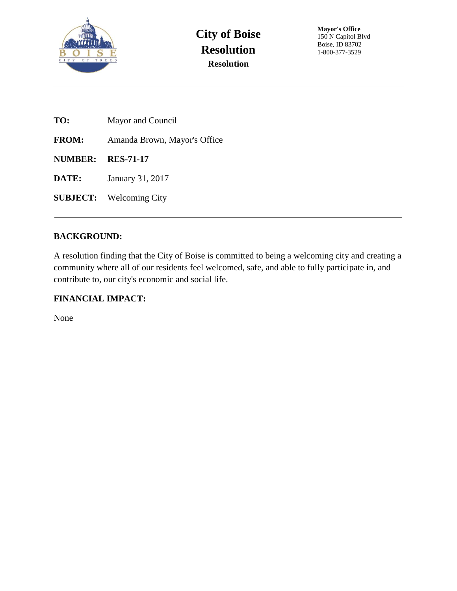

- **TO:** Mayor and Council
- **FROM:** Amanda Brown, Mayor's Office
- **NUMBER: RES-71-17**
- **DATE:** January 31, 2017
- **SUBJECT:** Welcoming City

## **BACKGROUND:**

A resolution finding that the City of Boise is committed to being a welcoming city and creating a community where all of our residents feel welcomed, safe, and able to fully participate in, and contribute to, our city's economic and social life.

## **FINANCIAL IMPACT:**

None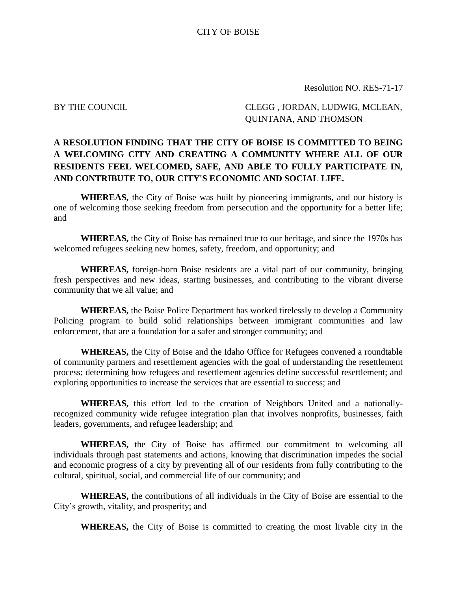Resolution NO. RES-71-17

BY THE COUNCIL CLEGG, JORDAN, LUDWIG, MCLEAN, QUINTANA, AND THOMSON

## **A RESOLUTION FINDING THAT THE CITY OF BOISE IS COMMITTED TO BEING A WELCOMING CITY AND CREATING A COMMUNITY WHERE ALL OF OUR RESIDENTS FEEL WELCOMED, SAFE, AND ABLE TO FULLY PARTICIPATE IN, AND CONTRIBUTE TO, OUR CITY'S ECONOMIC AND SOCIAL LIFE.**

**WHEREAS,** the City of Boise was built by pioneering immigrants, and our history is one of welcoming those seeking freedom from persecution and the opportunity for a better life; and

**WHEREAS,** the City of Boise has remained true to our heritage, and since the 1970s has welcomed refugees seeking new homes, safety, freedom, and opportunity; and

**WHEREAS,** foreign-born Boise residents are a vital part of our community, bringing fresh perspectives and new ideas, starting businesses, and contributing to the vibrant diverse community that we all value; and

**WHEREAS,** the Boise Police Department has worked tirelessly to develop a Community Policing program to build solid relationships between immigrant communities and law enforcement, that are a foundation for a safer and stronger community; and

**WHEREAS,** the City of Boise and the Idaho Office for Refugees convened a roundtable of community partners and resettlement agencies with the goal of understanding the resettlement process; determining how refugees and resettlement agencies define successful resettlement; and exploring opportunities to increase the services that are essential to success; and

**WHEREAS,** this effort led to the creation of Neighbors United and a nationallyrecognized community wide refugee integration plan that involves nonprofits, businesses, faith leaders, governments, and refugee leadership; and

**WHEREAS,** the City of Boise has affirmed our commitment to welcoming all individuals through past statements and actions, knowing that discrimination impedes the social and economic progress of a city by preventing all of our residents from fully contributing to the cultural, spiritual, social, and commercial life of our community; and

**WHEREAS,** the contributions of all individuals in the City of Boise are essential to the City's growth, vitality, and prosperity; and

**WHEREAS,** the City of Boise is committed to creating the most livable city in the